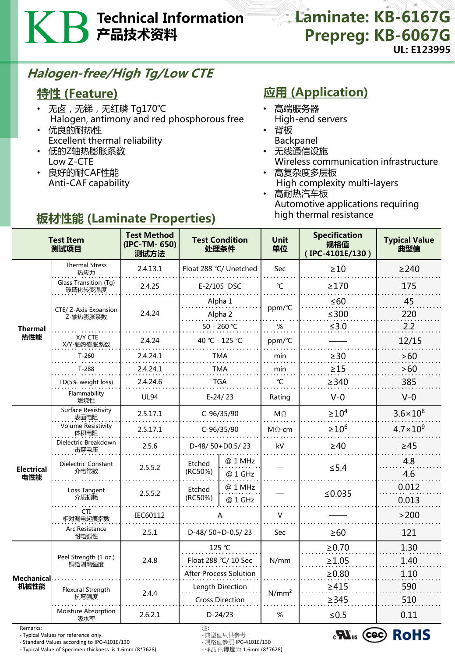# Technical Information 产品技术资料

### Laminate: KB-6167G Prepreg: KB-6067G UL: E123995

## Halogen-free/High Tg/Low CTE

#### 特性 (Feature)

- 无卤, 无锑, 无红磷 Tg170℃ Halogen, antimony and red phosphorous free
- 优良的耐热性 Excellent thermal reliability
- 低的Z轴热膨胀系数 Low Z-CTE
- 良好的耐CAF性能 Anti-CAF capability

## **应用 (Application)**

- 高端服务器
- High-end servers
- 背板
- Backpanel
- 无线通信设施 Wireless communication infrastructure
- 高复杂度多层板 High complexity multi-layers • 高耐热汽车板
- Automotive applications requiring high thermal resistance

| <b>Test Item</b><br>测试项目  |                                   | <b>Test Method</b><br>(IPC-TM- 650)<br>测试方法 | <b>Test Condition</b><br>处理条件  |                    | <b>Unit</b><br>单位 | <b>Specification</b><br>规格值<br>(IPC-4101E/130) | <b>Typical Value</b><br>典型值 |
|---------------------------|-----------------------------------|---------------------------------------------|--------------------------------|--------------------|-------------------|------------------------------------------------|-----------------------------|
| <b>Thermal</b><br>热性能     | <b>Thermal Stress</b><br>热应力      | 2.4.13.1                                    | Float 288 °C/ Unetched         |                    | Sec               | $\geq 10$                                      | $\geq$ 240                  |
|                           | Glass Transition (Tg)<br>玻璃化转变温度  | 2.4.25                                      | E-2/105 DSC                    |                    | $\mathrm{C}$      | $\geq$ 170                                     | 175                         |
|                           | CTE/ Z-Axis Expansion<br>Z-轴热膨胀系数 | 2.4.24                                      | Alpha 1                        |                    | ppm/°C<br>$\%$    | $\leq 60$                                      | 45                          |
|                           |                                   |                                             | Alpha 2<br>50 - 260 ℃          |                    |                   | $≤300$<br>$≤3.0$                               | 220<br>2.2                  |
|                           | X/Y CTE<br>X/Y-轴热膨胀系数             | 2.4.24                                      | 40 °C - 125 °C                 |                    | ppm/°C            |                                                | 12/15                       |
|                           | $T-260$                           | 2.4.24.1                                    | TMA                            |                    | min               | $\geq$ 30                                      | >60                         |
|                           | $T-288$                           | 2.4.24.1                                    | TMA                            |                    | min               | $\geq$ 15                                      | $>60$                       |
|                           | TD(5% weight loss)                | 2.4.24.6                                    | <b>TGA</b>                     |                    | °C                | $\geq$ 340                                     | 385                         |
|                           | Flammability<br>燃烧性               | <b>UL94</b>                                 | $E-24/23$                      |                    | Rating            | $V - 0$                                        | $V-0$                       |
| <b>Electrical</b><br>电性能  | Surface Resistivity<br>表面电阻       | 2.5.17.1                                    | C-96/35/90                     |                    | $M\Omega$         | $\geq 10^4$                                    | $3.6 \times 10^8$           |
|                           | <b>Volume Resistivity</b><br>体积电阻 | 2.5.17.1                                    | C-96/35/90                     |                    | $M \Omega$ -cm    | $\geq 10^6$                                    | $4.7 \times 10^{9}$         |
|                           | Dielectric Breakdown<br>击穿电压      | 2.5.6                                       | D-48/50+D0.5/23                |                    | kV                | $\geq 40$                                      | $\geq 45$                   |
|                           | Dielectric Constant<br>介电常数       | 2.5.5.2                                     | Etched<br>(RC50%)              | @ 1 MHz<br>@ 1 GHz |                   | $\leq$ 5.4                                     | 4.8<br>4.6                  |
|                           | Loss Tangent<br>介质损耗              | 2.5.5.2                                     | Etched<br>(RC50%)              | @ 1 MHz<br>@ 1 GHz |                   | ≤ $0.035$                                      | 0.012<br>0.013              |
|                           | <b>CTI</b><br>相对漏电起痕指数            | IEC60112                                    |                                |                    | $\vee$            |                                                | >200                        |
|                           | Arc Resistance<br>耐电弧性            | 2.5.1                                       | D-48/50+D-0.5/23               |                    | Sec               | $\geq 60$                                      | 121                         |
| <b>Mechanical</b><br>机械性能 | Peel Strength (1 oz.)<br>铜箔剥离强度   | 2.4.8                                       | 125 °C<br>Float 288 °C/ 10 Sec |                    | N/mm              | $\ge 0.70$                                     | 1.30                        |
|                           |                                   |                                             |                                |                    |                   | $\geq 1.05$                                    | 1.40                        |
|                           |                                   |                                             | <b>After Process Solution</b>  |                    |                   | ≥0.80                                          | 1.10                        |
|                           | Flexural Strength                 | 2.4.4                                       | Length Direction               |                    | $N/mm^2$          | >415                                           | 590                         |
|                           | 抗弯强度                              |                                             | <b>Cross Direction</b>         |                    |                   | $\geq$ 345                                     | 510                         |
|                           | Moisture Absorption<br>吸水率        | 2.6.2.1                                     | $D-24/23$                      |                    | %                 | $≤0.5$                                         | 0.11                        |

Remarks: 注:

- Typical Values for reference only. - 典型值只供参考

- Standard Values according to IPC-4101E/130 - 规格值参照 IPC-4101E/130 - Typical Value of Specimen thickness is 1.6mm (8\*7628)

 $_{c}$ N<sub>us</sub> (cec) RoHS